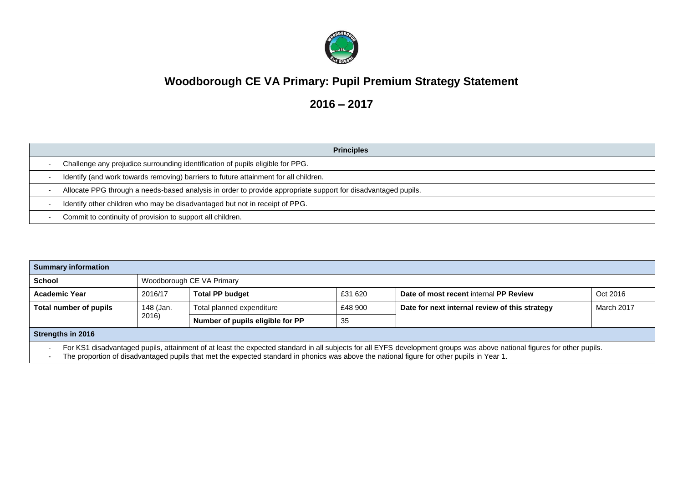

## **Woodborough CE VA Primary: Pupil Premium Strategy Statement**

**2016 – 2017**

| <b>Principles</b>                                                                                             |
|---------------------------------------------------------------------------------------------------------------|
| Challenge any prejudice surrounding identification of pupils eligible for PPG.                                |
| Identify (and work towards removing) barriers to future attainment for all children.                          |
| Allocate PPG through a needs-based analysis in order to provide appropriate support for disadvantaged pupils. |
| Identify other children who may be disadvantaged but not in receipt of PPG.                                   |
| Commit to continuity of provision to support all children.                                                    |

| <b>Summary information</b>                                                                                                                                                                                                                                                                                                                        |           |                                  |         |                                                |            |
|---------------------------------------------------------------------------------------------------------------------------------------------------------------------------------------------------------------------------------------------------------------------------------------------------------------------------------------------------|-----------|----------------------------------|---------|------------------------------------------------|------------|
| <b>School</b>                                                                                                                                                                                                                                                                                                                                     |           | Woodborough CE VA Primary        |         |                                                |            |
| <b>Academic Year</b>                                                                                                                                                                                                                                                                                                                              | 2016/17   | <b>Total PP budget</b>           | £31 620 | Date of most recent internal PP Review         | Oct 2016   |
| Total number of pupils                                                                                                                                                                                                                                                                                                                            | 148 (Jan. | Total planned expenditure        | £48 900 | Date for next internal review of this strategy | March 2017 |
|                                                                                                                                                                                                                                                                                                                                                   | 2016)     | Number of pupils eligible for PP | -35     |                                                |            |
| <b>Strengths in 2016</b>                                                                                                                                                                                                                                                                                                                          |           |                                  |         |                                                |            |
| For KS1 disadvantaged pupils, attainment of at least the expected standard in all subjects for all EYFS development groups was above national figures for other pupils.<br>The proportion of disadvantaged pupils that met the expected standard in phonics was above the national figure for other pupils in Year 1.<br>$\overline{\phantom{a}}$ |           |                                  |         |                                                |            |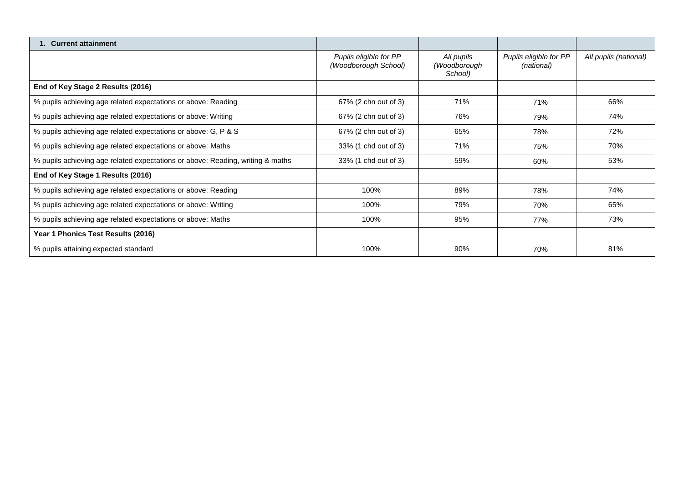| 1. Current attainment                                                          |                                                |                                       |                                      |                       |
|--------------------------------------------------------------------------------|------------------------------------------------|---------------------------------------|--------------------------------------|-----------------------|
|                                                                                | Pupils eligible for PP<br>(Woodborough School) | All pupils<br>(Woodborough<br>School) | Pupils eligible for PP<br>(national) | All pupils (national) |
| End of Key Stage 2 Results (2016)                                              |                                                |                                       |                                      |                       |
| % pupils achieving age related expectations or above: Reading                  | 67% (2 chn out of 3)                           | 71%                                   | 71%                                  | 66%                   |
| % pupils achieving age related expectations or above: Writing                  | 67% (2 chn out of 3)                           | 76%                                   | 79%                                  | 74%                   |
| % pupils achieving age related expectations or above: G, P & S                 | 67% (2 chn out of 3)                           | 65%                                   | 78%                                  | 72%                   |
| % pupils achieving age related expectations or above: Maths                    | 33% (1 chd out of 3)                           | 71%                                   | 75%                                  | 70%                   |
| % pupils achieving age related expectations or above: Reading, writing & maths | 33% (1 chd out of 3)                           | 59%                                   | 60%                                  | 53%                   |
| End of Key Stage 1 Results (2016)                                              |                                                |                                       |                                      |                       |
| % pupils achieving age related expectations or above: Reading                  | 100%                                           | 89%                                   | 78%                                  | 74%                   |
| % pupils achieving age related expectations or above: Writing                  | 100%                                           | 79%                                   | 70%                                  | 65%                   |
| % pupils achieving age related expectations or above: Maths                    | 100%                                           | 95%                                   | 77%                                  | 73%                   |
| Year 1 Phonics Test Results (2016)                                             |                                                |                                       |                                      |                       |
| % pupils attaining expected standard                                           | 100%                                           | 90%                                   | 70%                                  | 81%                   |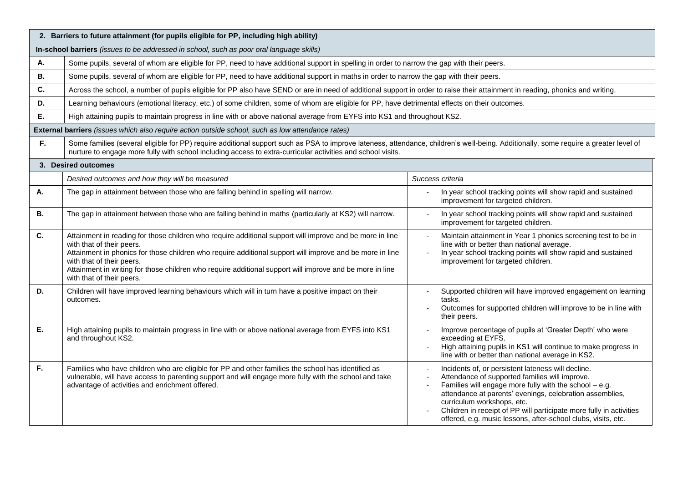|           | 2. Barriers to future attainment (for pupils eligible for PP, including high ability)                                                                                                                                                                                                                                                                                                                                   |                                                                                                                                                                                                                                                                                                                                                                                                  |  |  |  |  |
|-----------|-------------------------------------------------------------------------------------------------------------------------------------------------------------------------------------------------------------------------------------------------------------------------------------------------------------------------------------------------------------------------------------------------------------------------|--------------------------------------------------------------------------------------------------------------------------------------------------------------------------------------------------------------------------------------------------------------------------------------------------------------------------------------------------------------------------------------------------|--|--|--|--|
|           | In-school barriers (issues to be addressed in school, such as poor oral language skills)                                                                                                                                                                                                                                                                                                                                |                                                                                                                                                                                                                                                                                                                                                                                                  |  |  |  |  |
| А.        | Some pupils, several of whom are eligible for PP, need to have additional support in spelling in order to narrow the gap with their peers.                                                                                                                                                                                                                                                                              |                                                                                                                                                                                                                                                                                                                                                                                                  |  |  |  |  |
| <b>B.</b> | Some pupils, several of whom are eligible for PP, need to have additional support in maths in order to narrow the gap with their peers.                                                                                                                                                                                                                                                                                 |                                                                                                                                                                                                                                                                                                                                                                                                  |  |  |  |  |
| C.        | Across the school, a number of pupils eligible for PP also have SEND or are in need of additional support in order to raise their attainment in reading, phonics and writing.                                                                                                                                                                                                                                           |                                                                                                                                                                                                                                                                                                                                                                                                  |  |  |  |  |
| D.        | Learning behaviours (emotional literacy, etc.) of some children, some of whom are eligible for PP, have detrimental effects on their outcomes.                                                                                                                                                                                                                                                                          |                                                                                                                                                                                                                                                                                                                                                                                                  |  |  |  |  |
| Е.        | High attaining pupils to maintain progress in line with or above national average from EYFS into KS1 and throughout KS2.                                                                                                                                                                                                                                                                                                |                                                                                                                                                                                                                                                                                                                                                                                                  |  |  |  |  |
|           | External barriers (issues which also require action outside school, such as low attendance rates)                                                                                                                                                                                                                                                                                                                       |                                                                                                                                                                                                                                                                                                                                                                                                  |  |  |  |  |
| F.        | Some families (several eligible for PP) require additional support such as PSA to improve lateness, attendance, children's well-being. Additionally, some require a greater level of<br>nurture to engage more fully with school including access to extra-curricular activities and school visits.                                                                                                                     |                                                                                                                                                                                                                                                                                                                                                                                                  |  |  |  |  |
|           | 3. Desired outcomes                                                                                                                                                                                                                                                                                                                                                                                                     |                                                                                                                                                                                                                                                                                                                                                                                                  |  |  |  |  |
|           | Desired outcomes and how they will be measured                                                                                                                                                                                                                                                                                                                                                                          | Success criteria                                                                                                                                                                                                                                                                                                                                                                                 |  |  |  |  |
| А.        | The gap in attainment between those who are falling behind in spelling will narrow.                                                                                                                                                                                                                                                                                                                                     | In year school tracking points will show rapid and sustained<br>improvement for targeted children.                                                                                                                                                                                                                                                                                               |  |  |  |  |
| В.        | The gap in attainment between those who are falling behind in maths (particularly at KS2) will narrow.                                                                                                                                                                                                                                                                                                                  | In year school tracking points will show rapid and sustained<br>improvement for targeted children.                                                                                                                                                                                                                                                                                               |  |  |  |  |
| C.        | Attainment in reading for those children who require additional support will improve and be more in line<br>with that of their peers.<br>Attainment in phonics for those children who require additional support will improve and be more in line<br>with that of their peers.<br>Attainment in writing for those children who require additional support will improve and be more in line<br>with that of their peers. | Maintain attainment in Year 1 phonics screening test to be in<br>line with or better than national average.<br>In year school tracking points will show rapid and sustained<br>improvement for targeted children.                                                                                                                                                                                |  |  |  |  |
| D.        | Children will have improved learning behaviours which will in turn have a positive impact on their<br>outcomes.                                                                                                                                                                                                                                                                                                         | Supported children will have improved engagement on learning<br>tasks.<br>Outcomes for supported children will improve to be in line with<br>their peers.                                                                                                                                                                                                                                        |  |  |  |  |
| Е.        | High attaining pupils to maintain progress in line with or above national average from EYFS into KS1<br>and throughout KS2.                                                                                                                                                                                                                                                                                             | Improve percentage of pupils at 'Greater Depth' who were<br>exceeding at EYFS.<br>High attaining pupils in KS1 will continue to make progress in<br>line with or better than national average in KS2.                                                                                                                                                                                            |  |  |  |  |
| F.        | Families who have children who are eligible for PP and other families the school has identified as<br>vulnerable, will have access to parenting support and will engage more fully with the school and take<br>advantage of activities and enrichment offered.                                                                                                                                                          | Incidents of, or persistent lateness will decline.<br>Attendance of supported families will improve.<br>Families will engage more fully with the school - e.g.<br>attendance at parents' evenings, celebration assemblies,<br>curriculum workshops, etc.<br>Children in receipt of PP will participate more fully in activities<br>offered, e.g. music lessons, after-school clubs, visits, etc. |  |  |  |  |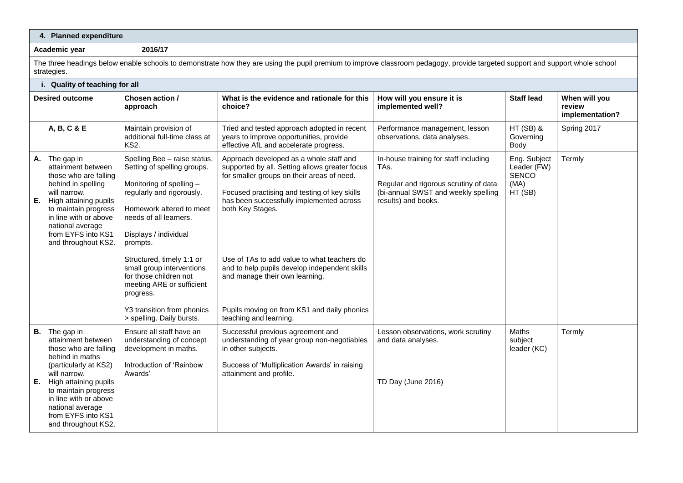|                                                                                                                                                                                                                                                                               | 4. Planned expenditure                                                                                                                                                                                                                                                                                                                                                                                   |                                                                                                                                                                                                                                                                                                                                                                                                                                                                    |                                                                                                                                                      |                                                                |                                            |  |
|-------------------------------------------------------------------------------------------------------------------------------------------------------------------------------------------------------------------------------------------------------------------------------|----------------------------------------------------------------------------------------------------------------------------------------------------------------------------------------------------------------------------------------------------------------------------------------------------------------------------------------------------------------------------------------------------------|--------------------------------------------------------------------------------------------------------------------------------------------------------------------------------------------------------------------------------------------------------------------------------------------------------------------------------------------------------------------------------------------------------------------------------------------------------------------|------------------------------------------------------------------------------------------------------------------------------------------------------|----------------------------------------------------------------|--------------------------------------------|--|
| Academic vear                                                                                                                                                                                                                                                                 | 2016/17                                                                                                                                                                                                                                                                                                                                                                                                  |                                                                                                                                                                                                                                                                                                                                                                                                                                                                    |                                                                                                                                                      |                                                                |                                            |  |
| strategies.                                                                                                                                                                                                                                                                   |                                                                                                                                                                                                                                                                                                                                                                                                          | The three headings below enable schools to demonstrate how they are using the pupil premium to improve classroom pedagogy, provide targeted support and support whole school                                                                                                                                                                                                                                                                                       |                                                                                                                                                      |                                                                |                                            |  |
| i. Quality of teaching for all                                                                                                                                                                                                                                                |                                                                                                                                                                                                                                                                                                                                                                                                          |                                                                                                                                                                                                                                                                                                                                                                                                                                                                    |                                                                                                                                                      |                                                                |                                            |  |
| <b>Desired outcome</b>                                                                                                                                                                                                                                                        | Chosen action /<br>approach                                                                                                                                                                                                                                                                                                                                                                              | What is the evidence and rationale for this<br>choice?                                                                                                                                                                                                                                                                                                                                                                                                             | How will you ensure it is<br>implemented well?                                                                                                       | <b>Staff lead</b>                                              | When will you<br>review<br>implementation? |  |
| A, B, C & E                                                                                                                                                                                                                                                                   | Maintain provision of<br>additional full-time class at<br><b>KS2.</b>                                                                                                                                                                                                                                                                                                                                    | Tried and tested approach adopted in recent<br>years to improve opportunities, provide<br>effective AfL and accelerate progress.                                                                                                                                                                                                                                                                                                                                   | Performance management, lesson<br>observations, data analyses.                                                                                       | $HT(SB)$ &<br>Governing<br>Body                                | Spring 2017                                |  |
| The gap in<br>А.<br>attainment between<br>those who are falling<br>behind in spelling<br>will narrow.<br>E.<br>High attaining pupils<br>to maintain progress<br>in line with or above<br>national average<br>from EYFS into KS1<br>and throughout KS2.                        | Spelling Bee - raise status.<br>Setting of spelling groups.<br>Monitoring of spelling -<br>regularly and rigorously.<br>Homework altered to meet<br>needs of all learners.<br>Displays / individual<br>prompts.<br>Structured, timely 1:1 or<br>small group interventions<br>for those children not<br>meeting ARE or sufficient<br>progress.<br>Y3 transition from phonics<br>> spelling. Daily bursts. | Approach developed as a whole staff and<br>supported by all. Setting allows greater focus<br>for smaller groups on their areas of need.<br>Focused practising and testing of key skills<br>has been successfully implemented across<br>both Key Stages.<br>Use of TAs to add value to what teachers do<br>and to help pupils develop independent skills<br>and manage their own learning.<br>Pupils moving on from KS1 and daily phonics<br>teaching and learning. | In-house training for staff including<br>TAs.<br>Regular and rigorous scrutiny of data<br>(bi-annual SWST and weekly spelling<br>results) and books. | Eng. Subject<br>Leader (FW)<br><b>SENCO</b><br>(MA)<br>HT (SB) | Termly                                     |  |
| <b>B.</b> The gap in<br>attainment between<br>those who are falling<br>behind in maths<br>(particularly at KS2)<br>will narrow.<br>E. High attaining pupils<br>to maintain progress<br>in line with or above<br>national average<br>from EYFS into KS1<br>and throughout KS2. | Ensure all staff have an<br>understanding of concept<br>development in maths.<br>Introduction of 'Rainbow<br>Awards'                                                                                                                                                                                                                                                                                     | Successful previous agreement and<br>understanding of year group non-negotiables<br>in other subjects.<br>Success of 'Multiplication Awards' in raising<br>attainment and profile.                                                                                                                                                                                                                                                                                 | Lesson observations, work scrutiny<br>and data analyses.<br>TD Day (June 2016)                                                                       | Maths<br>subject<br>leader (KC)                                | Termly                                     |  |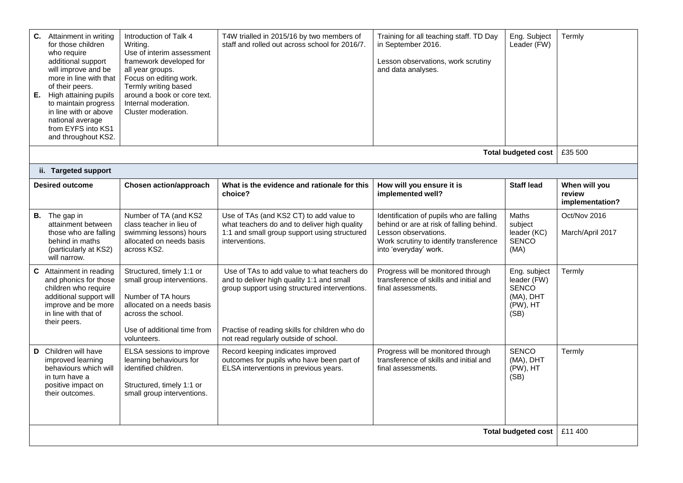| <b>C.</b> Attainment in writing<br>for those children<br>who require<br>additional support<br>will improve and be<br>more in line with that<br>of their peers.<br>E. High attaining pupils<br>to maintain progress<br>in line with or above<br>national average<br>from EYFS into KS1<br>and throughout KS2. | Introduction of Talk 4<br>Writing.<br>Use of interim assessment<br>framework developed for<br>all year groups.<br>Focus on editing work.<br>Termly writing based<br>around a book or core text.<br>Internal moderation.<br>Cluster moderation. | T4W trialled in 2015/16 by two members of<br>staff and rolled out across school for 2016/7.                                                                                                                                          | Training for all teaching staff. TD Day<br>in September 2016.<br>Lesson observations, work scrutiny<br>and data analyses.                                                       | Eng. Subject<br>Leader (FW)                                                  | Termly                                     |
|--------------------------------------------------------------------------------------------------------------------------------------------------------------------------------------------------------------------------------------------------------------------------------------------------------------|------------------------------------------------------------------------------------------------------------------------------------------------------------------------------------------------------------------------------------------------|--------------------------------------------------------------------------------------------------------------------------------------------------------------------------------------------------------------------------------------|---------------------------------------------------------------------------------------------------------------------------------------------------------------------------------|------------------------------------------------------------------------------|--------------------------------------------|
|                                                                                                                                                                                                                                                                                                              |                                                                                                                                                                                                                                                |                                                                                                                                                                                                                                      |                                                                                                                                                                                 | <b>Total budgeted cost</b>                                                   | £35 500                                    |
| ii. Targeted support                                                                                                                                                                                                                                                                                         |                                                                                                                                                                                                                                                |                                                                                                                                                                                                                                      |                                                                                                                                                                                 |                                                                              |                                            |
| <b>Desired outcome</b>                                                                                                                                                                                                                                                                                       | Chosen action/approach                                                                                                                                                                                                                         | What is the evidence and rationale for this<br>choice?                                                                                                                                                                               | How will you ensure it is<br>implemented well?                                                                                                                                  | <b>Staff lead</b>                                                            | When will you<br>review<br>implementation? |
| <b>B.</b> The gap in<br>attainment between<br>those who are falling<br>behind in maths<br>(particularly at KS2)<br>will narrow.                                                                                                                                                                              | Number of TA (and KS2<br>class teacher in lieu of<br>swimming lessons) hours<br>allocated on needs basis<br>across KS2.                                                                                                                        | Use of TAs (and KS2 CT) to add value to<br>what teachers do and to deliver high quality<br>1:1 and small group support using structured<br>interventions.                                                                            | Identification of pupils who are falling<br>behind or are at risk of falling behind.<br>Lesson observations.<br>Work scrutiny to identify transference<br>into 'everyday' work. | <b>Maths</b><br>subject<br>leader (KC)<br><b>SENCO</b><br>(MA)               | Oct/Nov 2016<br>March/April 2017           |
| C Attainment in reading<br>and phonics for those<br>children who require<br>additional support will<br>improve and be more<br>in line with that of<br>their peers.                                                                                                                                           | Structured, timely 1:1 or<br>small group interventions.<br>Number of TA hours<br>allocated on a needs basis<br>across the school.<br>Use of additional time from<br>volunteers.                                                                | Use of TAs to add value to what teachers do<br>and to deliver high quality 1:1 and small<br>group support using structured interventions.<br>Practise of reading skills for children who do<br>not read regularly outside of school. | Progress will be monitored through<br>transference of skills and initial and<br>final assessments.                                                                              | Eng. subject<br>leader (FW)<br><b>SENCO</b><br>(MA), DHT<br>(PW), HT<br>(SB) | Termly                                     |
| D Children will have<br>improved learning<br>behaviours which will<br>in turn have a<br>positive impact on<br>their outcomes.                                                                                                                                                                                | ELSA sessions to improve<br>learning behaviours for<br>identified children.<br>Structured, timely 1:1 or<br>small group interventions.                                                                                                         | Record keeping indicates improved<br>outcomes for pupils who have been part of<br>ELSA interventions in previous years.                                                                                                              | Progress will be monitored through<br>transference of skills and initial and<br>final assessments.                                                                              | <b>SENCO</b><br>(MA), DHT<br>(PW), HT<br>(SB)                                | Termly                                     |
|                                                                                                                                                                                                                                                                                                              |                                                                                                                                                                                                                                                |                                                                                                                                                                                                                                      |                                                                                                                                                                                 | <b>Total budgeted cost</b>                                                   | £11 400                                    |